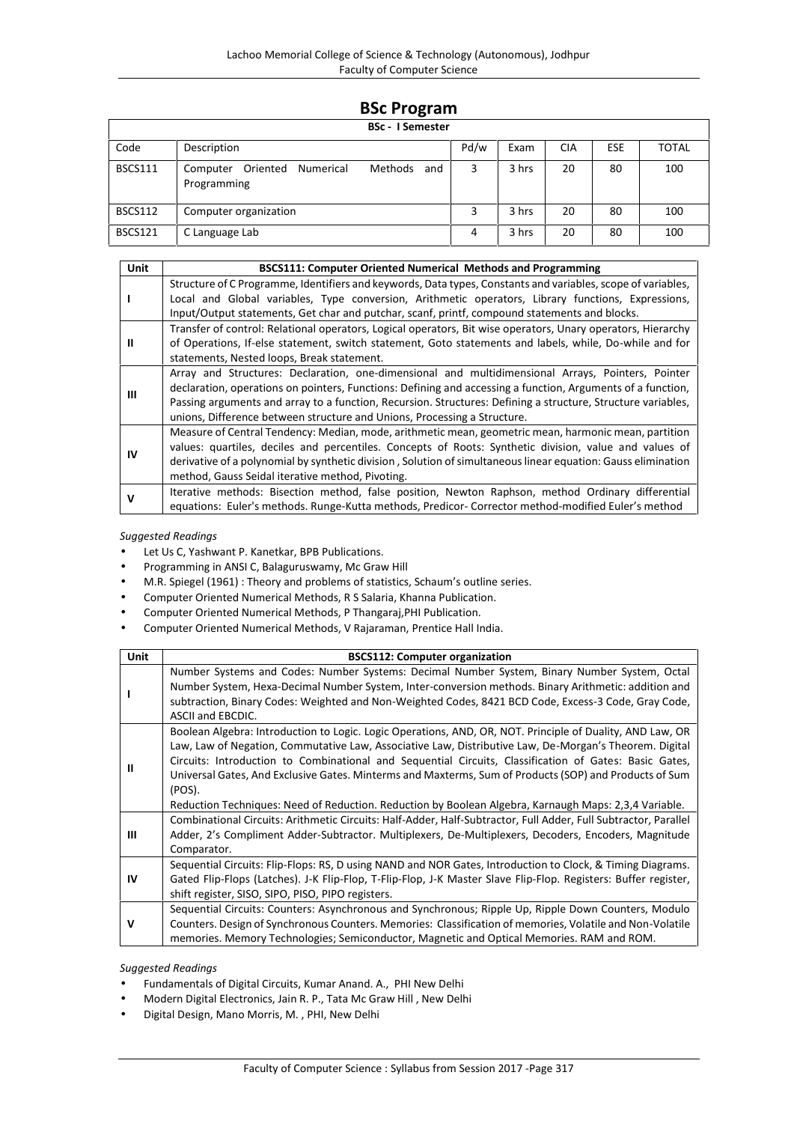# **BSc Program**

## **BSc - I Semester**

|                | BSC - TSemester                                                    |      |       |            |     |       |
|----------------|--------------------------------------------------------------------|------|-------|------------|-----|-------|
| Code           | Description                                                        | Pd/w | Exam  | <b>CIA</b> | ESE | TOTAL |
| <b>BSCS111</b> | Methods<br>Oriented<br>Numerical<br>and<br>Computer<br>Programming | 3    | 3 hrs | 20         | 80  | 100   |
| <b>BSCS112</b> | Computer organization                                              | 3    | 3 hrs | 20         | 80  | 100   |
| <b>BSCS121</b> | C Language Lab                                                     | 4    | 3 hrs | 20         | 80  | 100   |

| <b>Unit</b> | BSCS111: Computer Oriented Numerical Methods and Programming                                                                                                                                                                                                                                                                                                                                                 |
|-------------|--------------------------------------------------------------------------------------------------------------------------------------------------------------------------------------------------------------------------------------------------------------------------------------------------------------------------------------------------------------------------------------------------------------|
|             | Structure of C Programme, Identifiers and keywords, Data types, Constants and variables, scope of variables,<br>Local and Global variables, Type conversion, Arithmetic operators, Library functions, Expressions,<br>Input/Output statements, Get char and putchar, scanf, printf, compound statements and blocks.                                                                                          |
| Ш           | Transfer of control: Relational operators, Logical operators, Bit wise operators, Unary operators, Hierarchy<br>of Operations, If-else statement, switch statement, Goto statements and labels, while, Do-while and for<br>statements, Nested loops, Break statement.                                                                                                                                        |
| Ш           | Array and Structures: Declaration, one-dimensional and multidimensional Arrays, Pointers, Pointer<br>declaration, operations on pointers, Functions: Defining and accessing a function, Arguments of a function,<br>Passing arguments and array to a function, Recursion. Structures: Defining a structure, Structure variables,<br>unions, Difference between structure and Unions, Processing a Structure. |
| <b>IV</b>   | Measure of Central Tendency: Median, mode, arithmetic mean, geometric mean, harmonic mean, partition<br>values: quartiles, deciles and percentiles. Concepts of Roots: Synthetic division, value and values of<br>derivative of a polynomial by synthetic division, Solution of simultaneous linear equation: Gauss elimination<br>method, Gauss Seidal iterative method, Pivoting.                          |
| v           | Iterative methods: Bisection method, false position, Newton Raphson, method Ordinary differential<br>equations: Euler's methods. Runge-Kutta methods, Predicor- Corrector method-modified Euler's method                                                                                                                                                                                                     |

*Suggested Readings*

- Let Us C, Yashwant P. Kanetkar, BPB Publications.
- Programming in ANSI C, Balaguruswamy, Mc Graw Hill
- M.R. Spiegel (1961) : Theory and problems of statistics, Schaum's outline series.
- Computer Oriented Numerical Methods, R S Salaria, Khanna Publication.
- Computer Oriented Numerical Methods, P Thangaraj,PHI Publication.
- Computer Oriented Numerical Methods, V Rajaraman, Prentice Hall India.

| Unit | <b>BSCS112: Computer organization</b>                                                                                                                                                                                                                                                                                                                                                                                                                                                                                                                                                                                                                                         |
|------|-------------------------------------------------------------------------------------------------------------------------------------------------------------------------------------------------------------------------------------------------------------------------------------------------------------------------------------------------------------------------------------------------------------------------------------------------------------------------------------------------------------------------------------------------------------------------------------------------------------------------------------------------------------------------------|
|      | Number Systems and Codes: Number Systems: Decimal Number System, Binary Number System, Octal<br>Number System, Hexa-Decimal Number System, Inter-conversion methods. Binary Arithmetic: addition and<br>subtraction, Binary Codes: Weighted and Non-Weighted Codes, 8421 BCD Code, Excess-3 Code, Gray Code,<br><b>ASCII and EBCDIC.</b>                                                                                                                                                                                                                                                                                                                                      |
| Ш    | Boolean Algebra: Introduction to Logic. Logic Operations, AND, OR, NOT. Principle of Duality, AND Law, OR<br>Law, Law of Negation, Commutative Law, Associative Law, Distributive Law, De-Morgan's Theorem. Digital<br>Circuits: Introduction to Combinational and Sequential Circuits, Classification of Gates: Basic Gates,<br>Universal Gates, And Exclusive Gates. Minterms and Maxterms, Sum of Products (SOP) and Products of Sum<br>(POS).<br>Reduction Techniques: Need of Reduction. Reduction by Boolean Algebra, Karnaugh Maps: 2,3,4 Variable.<br>Combinational Circuits: Arithmetic Circuits: Half-Adder, Half-Subtractor, Full Adder, Full Subtractor, Parallel |
| Ш    | Adder, 2's Compliment Adder-Subtractor. Multiplexers, De-Multiplexers, Decoders, Encoders, Magnitude<br>Comparator.                                                                                                                                                                                                                                                                                                                                                                                                                                                                                                                                                           |
| IV   | Sequential Circuits: Flip-Flops: RS, D using NAND and NOR Gates, Introduction to Clock, & Timing Diagrams.<br>Gated Flip-Flops (Latches). J-K Flip-Flop, T-Flip-Flop, J-K Master Slave Flip-Flop. Registers: Buffer register,<br>shift register, SISO, SIPO, PISO, PIPO registers.                                                                                                                                                                                                                                                                                                                                                                                            |
| v    | Sequential Circuits: Counters: Asynchronous and Synchronous; Ripple Up, Ripple Down Counters, Modulo<br>Counters. Design of Synchronous Counters. Memories: Classification of memories, Volatile and Non-Volatile<br>memories. Memory Technologies; Semiconductor, Magnetic and Optical Memories. RAM and ROM.                                                                                                                                                                                                                                                                                                                                                                |

#### *Suggested Readings*

- Fundamentals of Digital Circuits, Kumar Anand. A., PHI New Delhi
- Modern Digital Electronics, Jain R. P., Tata Mc Graw Hill , New Delhi
- Digital Design, Mano Morris, M. , PHI, New Delhi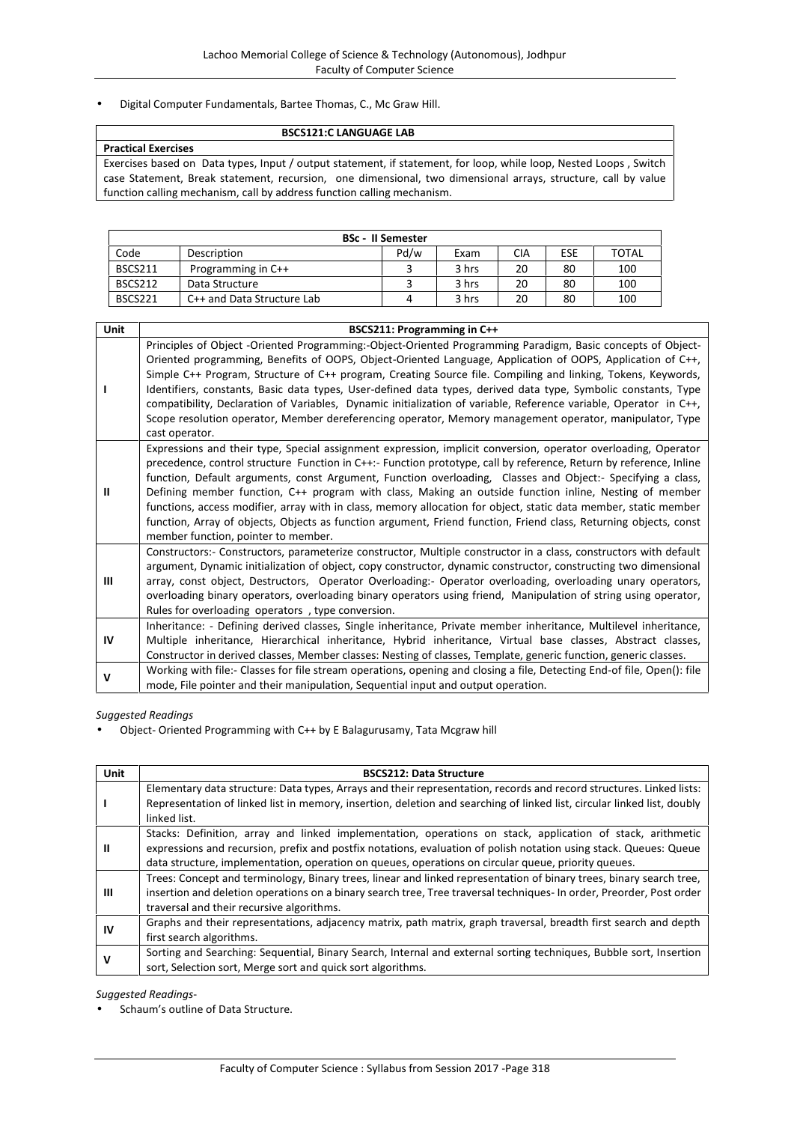Digital Computer Fundamentals, Bartee Thomas, C., Mc Graw Hill.

#### **BSCS121:C LANGUAGE LAB**

#### **Practical Exercises**

Exercises based on Data types, Input / output statement, if statement, for loop, while loop, Nested Loops , Switch case Statement, Break statement, recursion, one dimensional, two dimensional arrays, structure, call by value function calling mechanism, call by address function calling mechanism.

|                |                            | <b>BSc - II Semester</b> |       |     |     |              |
|----------------|----------------------------|--------------------------|-------|-----|-----|--------------|
| Code           | Description                | Pd/w                     | Exam  | CIA | ESE | <b>TOTAL</b> |
| <b>BSCS211</b> | Programming in $C++$       |                          | 3 hrs | 20  | 80  | 100          |
| <b>BSCS212</b> | Data Structure             |                          | 3 hrs | 20  | 80  | 100          |
| BSCS221        | C++ and Data Structure Lab |                          | 3 hrs | 20  | 80  | 100          |

| Unit | BSCS211: Programming in C++                                                                                                                                                                                                                                                                                                                                                                                                                                                                                                                                                                                                                                                                                                                   |
|------|-----------------------------------------------------------------------------------------------------------------------------------------------------------------------------------------------------------------------------------------------------------------------------------------------------------------------------------------------------------------------------------------------------------------------------------------------------------------------------------------------------------------------------------------------------------------------------------------------------------------------------------------------------------------------------------------------------------------------------------------------|
|      | Principles of Object -Oriented Programming:-Object-Oriented Programming Paradigm, Basic concepts of Object-<br>Oriented programming, Benefits of OOPS, Object-Oriented Language, Application of OOPS, Application of C++,<br>Simple C++ Program, Structure of C++ program, Creating Source file. Compiling and linking, Tokens, Keywords,<br>Identifiers, constants, Basic data types, User-defined data types, derived data type, Symbolic constants, Type<br>compatibility, Declaration of Variables, Dynamic initialization of variable, Reference variable, Operator in C++,<br>Scope resolution operator, Member dereferencing operator, Memory management operator, manipulator, Type<br>cast operator.                                 |
| Ш    | Expressions and their type, Special assignment expression, implicit conversion, operator overloading, Operator<br>precedence, control structure Function in C++:- Function prototype, call by reference, Return by reference, Inline<br>function, Default arguments, const Argument, Function overloading, Classes and Object:- Specifying a class,<br>Defining member function, C++ program with class, Making an outside function inline, Nesting of member<br>functions, access modifier, array with in class, memory allocation for object, static data member, static member<br>function, Array of objects, Objects as function argument, Friend function, Friend class, Returning objects, const<br>member function, pointer to member. |
| Ш    | Constructors:- Constructors, parameterize constructor, Multiple constructor in a class, constructors with default<br>argument, Dynamic initialization of object, copy constructor, dynamic constructor, constructing two dimensional<br>array, const object, Destructors, Operator Overloading:- Operator overloading, overloading unary operators,<br>overloading binary operators, overloading binary operators using friend, Manipulation of string using operator,<br>Rules for overloading operators, type conversion.                                                                                                                                                                                                                   |
| IV   | Inheritance: - Defining derived classes, Single inheritance, Private member inheritance, Multilevel inheritance,<br>Multiple inheritance, Hierarchical inheritance, Hybrid inheritance, Virtual base classes, Abstract classes,<br>Constructor in derived classes, Member classes: Nesting of classes, Template, generic function, generic classes.                                                                                                                                                                                                                                                                                                                                                                                           |
| v    | Working with file:- Classes for file stream operations, opening and closing a file, Detecting End-of file, Open(): file<br>mode, File pointer and their manipulation, Sequential input and output operation.                                                                                                                                                                                                                                                                                                                                                                                                                                                                                                                                  |

*Suggested Readings*

Object- Oriented Programming with C++ by E Balagurusamy, Tata Mcgraw hill

| Unit | <b>BSCS212: Data Structure</b>                                                                                                                                                                                                                                                                                                         |
|------|----------------------------------------------------------------------------------------------------------------------------------------------------------------------------------------------------------------------------------------------------------------------------------------------------------------------------------------|
|      | Elementary data structure: Data types, Arrays and their representation, records and record structures. Linked lists:<br>Representation of linked list in memory, insertion, deletion and searching of linked list, circular linked list, doubly<br>linked list.                                                                        |
| Ш    | Stacks: Definition, array and linked implementation, operations on stack, application of stack, arithmetic<br>expressions and recursion, prefix and postfix notations, evaluation of polish notation using stack. Queues: Queue<br>data structure, implementation, operation on queues, operations on circular queue, priority queues. |
| ш    | Trees: Concept and terminology, Binary trees, linear and linked representation of binary trees, binary search tree,<br>insertion and deletion operations on a binary search tree, Tree traversal techniques- In order, Preorder, Post order<br>traversal and their recursive algorithms.                                               |
| IV   | Graphs and their representations, adjacency matrix, path matrix, graph traversal, breadth first search and depth<br>first search algorithms.                                                                                                                                                                                           |
|      | Sorting and Searching: Sequential, Binary Search, Internal and external sorting techniques, Bubble sort, Insertion<br>sort, Selection sort, Merge sort and quick sort algorithms.                                                                                                                                                      |

*Suggested Readings*-

Schaum's outline of Data Structure.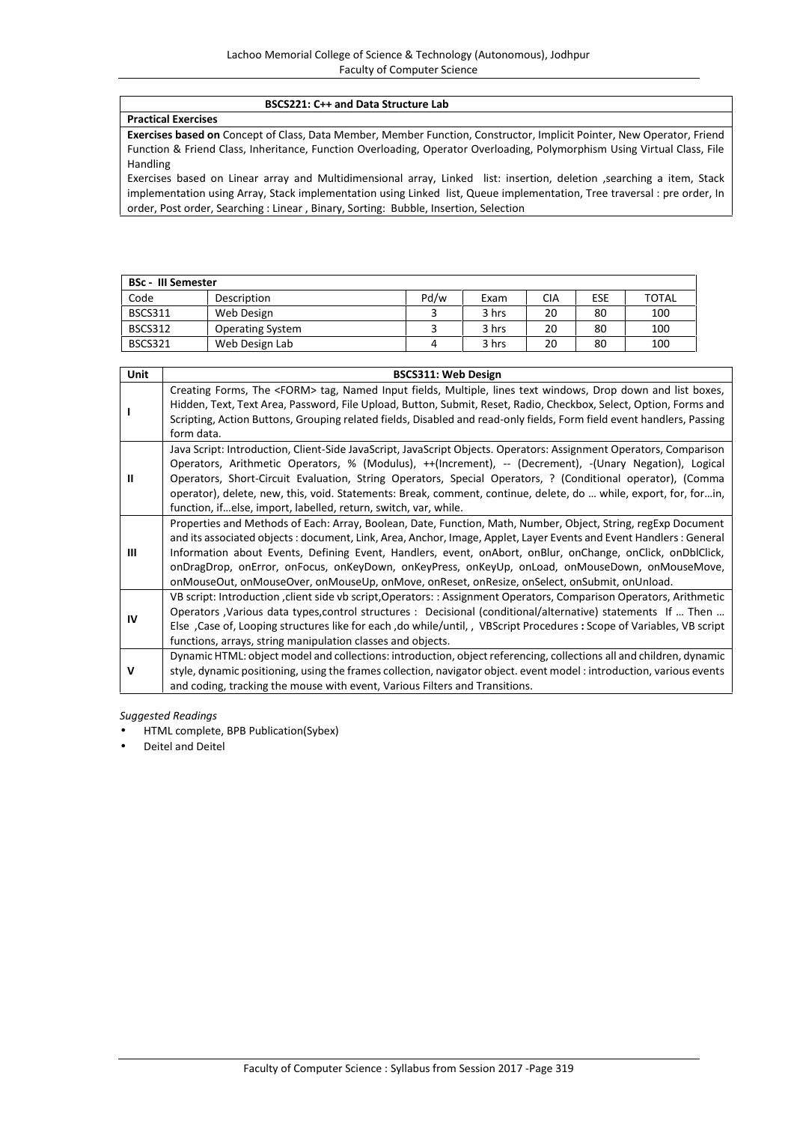#### **BSCS221: C++ and Data Structure Lab**

#### **Practical Exercises**

**Exercises based on** Concept of Class, Data Member, Member Function, Constructor, Implicit Pointer, New Operator, Friend Function & Friend Class, Inheritance, Function Overloading, Operator Overloading, Polymorphism Using Virtual Class, File Handling

Exercises based on Linear array and Multidimensional array, Linked list: insertion, deletion ,searching a item, Stack implementation using Array, Stack implementation using Linked list, Queue implementation, Tree traversal : pre order, In order, Post order, Searching : Linear , Binary, Sorting: Bubble, Insertion, Selection

| <b>BSc - III Semester</b> |                         |      |       |            |     |              |
|---------------------------|-------------------------|------|-------|------------|-----|--------------|
| Code                      | Description             | Pd/w | Exam  | <b>CIA</b> | ESE | <b>TOTAL</b> |
| BSCS311                   | Web Design              |      | 3 hrs | 20         | 80  | 100          |
| <b>BSCS312</b>            | <b>Operating System</b> |      | 3 hrs | 20         | 80  | 100          |
| BSCS321                   | Web Design Lab          |      | 3 hrs | 20         | 80  | 100          |

| Unit | <b>BSCS311: Web Design</b>                                                                                                                                                                                                                                                                                                                                                                                                                                                                                                                            |
|------|-------------------------------------------------------------------------------------------------------------------------------------------------------------------------------------------------------------------------------------------------------------------------------------------------------------------------------------------------------------------------------------------------------------------------------------------------------------------------------------------------------------------------------------------------------|
|      | Creating Forms, The <form> tag, Named Input fields, Multiple, lines text windows, Drop down and list boxes,<br/>Hidden, Text, Text Area, Password, File Upload, Button, Submit, Reset, Radio, Checkbox, Select, Option, Forms and<br/>Scripting, Action Buttons, Grouping related fields, Disabled and read-only fields, Form field event handlers, Passing<br/>form data.</form>                                                                                                                                                                     |
| Ш    | Java Script: Introduction, Client-Side JavaScript, JavaScript Objects. Operators: Assignment Operators, Comparison<br>Operators, Arithmetic Operators, % (Modulus), ++(Increment), -- (Decrement), -(Unary Negation), Logical<br>Operators, Short-Circuit Evaluation, String Operators, Special Operators, ? (Conditional operator), (Comma<br>operator), delete, new, this, void. Statements: Break, comment, continue, delete, do  while, export, for, forin,<br>function, ifelse, import, labelled, return, switch, var, while.                    |
| Ш    | Properties and Methods of Each: Array, Boolean, Date, Function, Math, Number, Object, String, regExp Document<br>and its associated objects : document, Link, Area, Anchor, Image, Applet, Layer Events and Event Handlers : General<br>Information about Events, Defining Event, Handlers, event, onAbort, onBlur, onChange, onClick, onDblClick,<br>onDragDrop, onError, onFocus, onKeyDown, onKeyPress, onKeyUp, onLoad, onMouseDown, onMouseMove,<br>onMouseOut, onMouseOver, onMouseUp, onMove, onReset, onResize, onSelect, onSubmit, onUnload. |
| IV   | VB script: Introduction , client side vb script, Operators: : Assignment Operators, Comparison Operators, Arithmetic<br>Operators , Various data types, control structures : Decisional (conditional/alternative) statements If  Then<br>Else , Case of, Looping structures like for each, do while/until, , VBScript Procedures : Scope of Variables, VB script<br>functions, arrays, string manipulation classes and objects.                                                                                                                       |
| v    | Dynamic HTML: object model and collections: introduction, object referencing, collections all and children, dynamic<br>style, dynamic positioning, using the frames collection, navigator object. event model: introduction, various events<br>and coding, tracking the mouse with event, Various Filters and Transitions.                                                                                                                                                                                                                            |

*Suggested Readings*

- HTML complete, BPB Publication(Sybex)
- Deitel and Deitel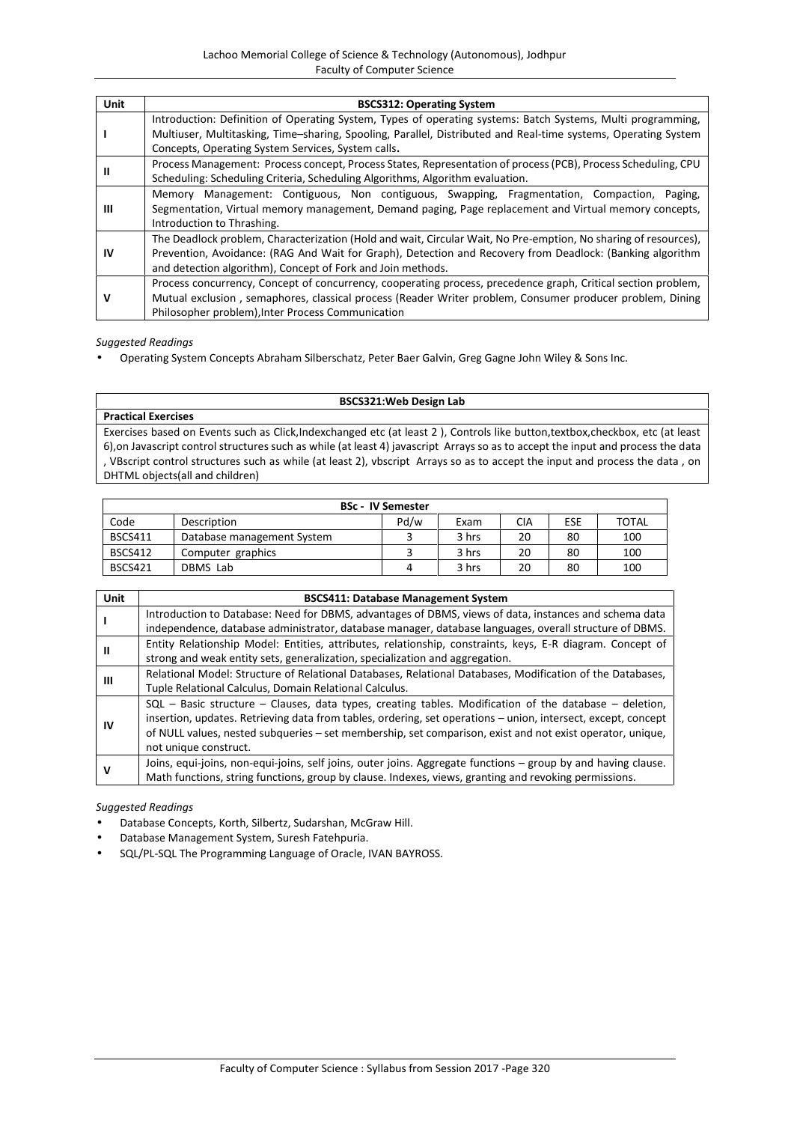| <b>Unit</b> | <b>BSCS312: Operating System</b>                                                                                |
|-------------|-----------------------------------------------------------------------------------------------------------------|
|             | Introduction: Definition of Operating System, Types of operating systems: Batch Systems, Multi programming,     |
|             | Multiuser, Multitasking, Time-sharing, Spooling, Parallel, Distributed and Real-time systems, Operating System  |
|             | Concepts, Operating System Services, System calls.                                                              |
| Ш           | Process Management: Process concept, Process States, Representation of process (PCB), Process Scheduling, CPU   |
|             | Scheduling: Scheduling Criteria, Scheduling Algorithms, Algorithm evaluation.                                   |
|             | Memory Management: Contiguous, Non contiguous, Swapping, Fragmentation, Compaction, Paging,                     |
| Ш           | Segmentation, Virtual memory management, Demand paging, Page replacement and Virtual memory concepts,           |
|             | Introduction to Thrashing.                                                                                      |
|             | The Deadlock problem, Characterization (Hold and wait, Circular Wait, No Pre-emption, No sharing of resources), |
| IV          | Prevention, Avoidance: (RAG And Wait for Graph), Detection and Recovery from Deadlock: (Banking algorithm       |
|             | and detection algorithm), Concept of Fork and Join methods.                                                     |
|             | Process concurrency, Concept of concurrency, cooperating process, precedence graph, Critical section problem,   |
| v           | Mutual exclusion, semaphores, classical process (Reader Writer problem, Consumer producer problem, Dining       |
|             | Philosopher problem), Inter Process Communication                                                               |

*Suggested Readings*

Operating System Concepts Abraham Silberschatz, Peter Baer Galvin, Greg Gagne John Wiley & Sons Inc.

#### **BSCS321:Web Design Lab**

**Practical Exercises** Exercises based on Events such as Click,Indexchanged etc (at least 2 ), Controls like button,textbox,checkbox, etc (at least 6),on Javascript control structures such as while (at least 4) javascript Arrays so as to accept the input and process the data , VBscript control structures such as while (at least 2), vbscript Arrays so as to accept the input and process the data , on DHTML objects(all and children)

| <b>BSc - IV Semester</b> |                            |      |       |     |            |              |
|--------------------------|----------------------------|------|-------|-----|------------|--------------|
| Code                     | Description                | Pd/w | Exam  | CIA | <b>ESE</b> | <b>TOTAL</b> |
| <b>BSCS411</b>           | Database management System |      | 3 hrs | 20  | 80         | 100          |
| <b>BSCS412</b>           | Computer graphics          |      | 3 hrs | 20  | 80         | 100          |
| <b>BSCS421</b>           | DBMS Lab                   |      | 3 hrs | 20  | 80         | 100          |

| <b>Unit</b> | <b>BSCS411: Database Management System</b>                                                                    |
|-------------|---------------------------------------------------------------------------------------------------------------|
|             | Introduction to Database: Need for DBMS, advantages of DBMS, views of data, instances and schema data         |
|             | independence, database administrator, database manager, database languages, overall structure of DBMS.        |
| Ш           | Entity Relationship Model: Entities, attributes, relationship, constraints, keys, E-R diagram. Concept of     |
|             | strong and weak entity sets, generalization, specialization and aggregation.                                  |
|             | Relational Model: Structure of Relational Databases, Relational Databases, Modification of the Databases,     |
| ш           | Tuple Relational Calculus, Domain Relational Calculus.                                                        |
|             | $SQL$ – Basic structure – Clauses, data types, creating tables. Modification of the database – deletion,      |
| IV          | insertion, updates. Retrieving data from tables, ordering, set operations - union, intersect, except, concept |
|             | of NULL values, nested subqueries – set membership, set comparison, exist and not exist operator, unique,     |
|             | not unique construct.                                                                                         |
| v           | Joins, equi-joins, non-equi-joins, self joins, outer joins. Aggregate functions – group by and having clause. |
|             | Math functions, string functions, group by clause. Indexes, views, granting and revoking permissions.         |

*Suggested Readings*

- Database Concepts, Korth, Silbertz, Sudarshan, McGraw Hill.
- Database Management System, Suresh Fatehpuria.
- SQL/PL-SQL The Programming Language of Oracle, IVAN BAYROSS.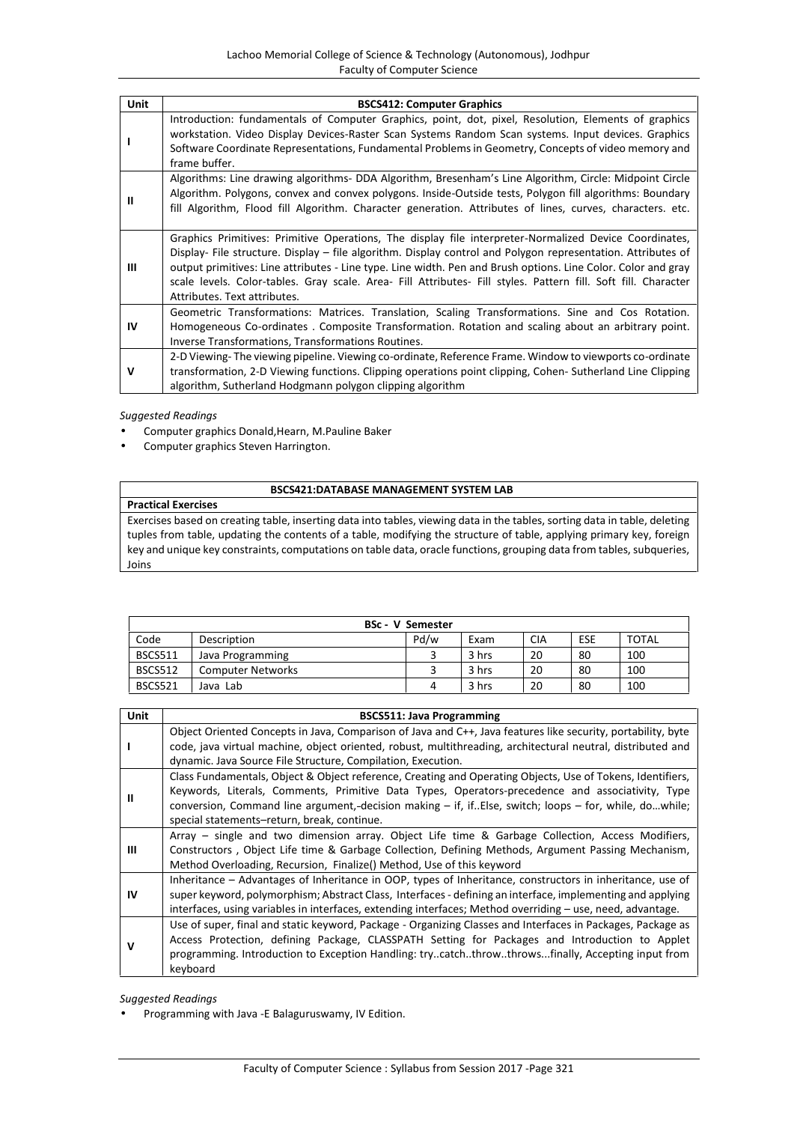| Unit | <b>BSCS412: Computer Graphics</b>                                                                                                                                                                                                                                                                                                                                                                                                                                                         |
|------|-------------------------------------------------------------------------------------------------------------------------------------------------------------------------------------------------------------------------------------------------------------------------------------------------------------------------------------------------------------------------------------------------------------------------------------------------------------------------------------------|
|      | Introduction: fundamentals of Computer Graphics, point, dot, pixel, Resolution, Elements of graphics<br>workstation. Video Display Devices-Raster Scan Systems Random Scan systems. Input devices. Graphics<br>Software Coordinate Representations, Fundamental Problems in Geometry, Concepts of video memory and<br>frame buffer.                                                                                                                                                       |
| Ш    | Algorithms: Line drawing algorithms- DDA Algorithm, Bresenham's Line Algorithm, Circle: Midpoint Circle<br>Algorithm. Polygons, convex and convex polygons. Inside-Outside tests, Polygon fill algorithms: Boundary<br>fill Algorithm, Flood fill Algorithm. Character generation. Attributes of lines, curves, characters. etc.                                                                                                                                                          |
| Ш    | Graphics Primitives: Primitive Operations, The display file interpreter-Normalized Device Coordinates,<br>Display- File structure. Display – file algorithm. Display control and Polygon representation. Attributes of<br>output primitives: Line attributes - Line type. Line width. Pen and Brush options. Line Color. Color and gray<br>scale levels. Color-tables. Gray scale. Area- Fill Attributes- Fill styles. Pattern fill. Soft fill. Character<br>Attributes. Text attributes. |
| IV   | Geometric Transformations: Matrices. Translation, Scaling Transformations. Sine and Cos Rotation.<br>Homogeneous Co-ordinates. Composite Transformation. Rotation and scaling about an arbitrary point.<br>Inverse Transformations, Transformations Routines.                                                                                                                                                                                                                             |
| v    | 2-D Viewing-The viewing pipeline. Viewing co-ordinate, Reference Frame. Window to viewports co-ordinate<br>transformation, 2-D Viewing functions. Clipping operations point clipping, Cohen-Sutherland Line Clipping<br>algorithm, Sutherland Hodgmann polygon clipping algorithm                                                                                                                                                                                                         |

#### *Suggested Readings*

- Computer graphics Donald,Hearn, M.Pauline Baker
- Computer graphics Steven Harrington.

### **BSCS421:DATABASE MANAGEMENT SYSTEM LAB**

**Practical Exercises** Exercises based on creating table, inserting data into tables, viewing data in the tables, sorting data in table, deleting tuples from table, updating the contents of a table, modifying the structure of table, applying primary key, foreign key and unique key constraints, computations on table data, oracle functions, grouping data from tables, subqueries, Joins

| <b>BSc - V Semester</b> |                          |      |       |            |     |       |
|-------------------------|--------------------------|------|-------|------------|-----|-------|
| Code                    | Description              | Pd/w | Exam  | <b>CIA</b> | ESE | TOTAL |
| BSCS511                 | Java Programming         |      | 3 hrs | 20         | 80  | 100   |
| BSCS512                 | <b>Computer Networks</b> |      | 3 hrs | 20         | 80  | 100   |
| <b>BSCS521</b>          | Java Lab                 | 4    | 3 hrs | 20         | 80  | 100   |

| Unit | <b>BSCS511: Java Programming</b>                                                                             |
|------|--------------------------------------------------------------------------------------------------------------|
|      | Object Oriented Concepts in Java, Comparison of Java and C++, Java features like security, portability, byte |
|      | code, java virtual machine, object oriented, robust, multithreading, architectural neutral, distributed and  |
|      | dynamic. Java Source File Structure, Compilation, Execution.                                                 |
| н    | Class Fundamentals, Object & Object reference, Creating and Operating Objects, Use of Tokens, Identifiers,   |
|      | Keywords, Literals, Comments, Primitive Data Types, Operators-precedence and associativity, Type             |
|      | conversion, Command line argument,-decision making $-$ if, if. Else, switch; loops $-$ for, while, dowhile;  |
|      | special statements-return, break, continue.                                                                  |
|      | Array – single and two dimension array. Object Life time & Garbage Collection, Access Modifiers,             |
| Ш    | Constructors, Object Life time & Garbage Collection, Defining Methods, Argument Passing Mechanism,           |
|      | Method Overloading, Recursion, Finalize() Method, Use of this keyword                                        |
| IV   | Inheritance - Advantages of Inheritance in OOP, types of Inheritance, constructors in inheritance, use of    |
|      | super keyword, polymorphism; Abstract Class, Interfaces - defining an interface, implementing and applying   |
|      | interfaces, using variables in interfaces, extending interfaces; Method overriding – use, need, advantage.   |
| ν    | Use of super, final and static keyword, Package - Organizing Classes and Interfaces in Packages, Package as  |
|      | Access Protection, defining Package, CLASSPATH Setting for Packages and Introduction to Applet               |
|      | programming. Introduction to Exception Handling: trycatchthrowthrowsfinally, Accepting input from            |
|      | keyboard                                                                                                     |

#### *Suggested Readings*

Programming with Java -E Balaguruswamy, IV Edition.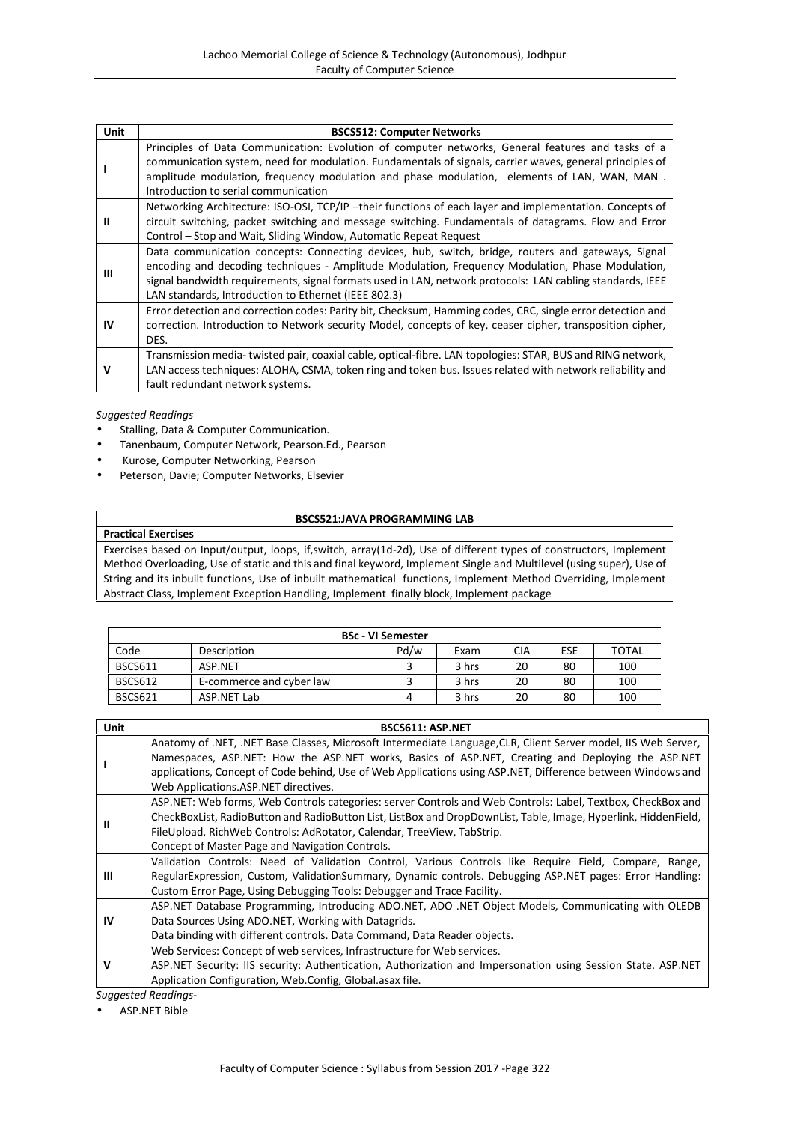| Unit      | <b>BSCS512: Computer Networks</b>                                                                                                                                                                                                                                                                                                                                           |
|-----------|-----------------------------------------------------------------------------------------------------------------------------------------------------------------------------------------------------------------------------------------------------------------------------------------------------------------------------------------------------------------------------|
|           | Principles of Data Communication: Evolution of computer networks, General features and tasks of a<br>communication system, need for modulation. Fundamentals of signals, carrier waves, general principles of<br>amplitude modulation, frequency modulation and phase modulation, elements of LAN, WAN, MAN.<br>Introduction to serial communication                        |
| Ш         | Networking Architecture: ISO-OSI, TCP/IP - their functions of each layer and implementation. Concepts of<br>circuit switching, packet switching and message switching. Fundamentals of datagrams. Flow and Error<br>Control – Stop and Wait, Sliding Window, Automatic Repeat Request                                                                                       |
| Ш         | Data communication concepts: Connecting devices, hub, switch, bridge, routers and gateways, Signal<br>encoding and decoding techniques - Amplitude Modulation, Frequency Modulation, Phase Modulation,<br>signal bandwidth requirements, signal formats used in LAN, network protocols: LAN cabling standards, IEEE<br>LAN standards, Introduction to Ethernet (IEEE 802.3) |
| <b>IV</b> | Error detection and correction codes: Parity bit, Checksum, Hamming codes, CRC, single error detection and<br>correction. Introduction to Network security Model, concepts of key, ceaser cipher, transposition cipher,<br>DES.                                                                                                                                             |
| v         | Transmission media-twisted pair, coaxial cable, optical-fibre. LAN topologies: STAR, BUS and RING network,<br>LAN access techniques: ALOHA, CSMA, token ring and token bus. Issues related with network reliability and<br>fault redundant network systems.                                                                                                                 |

*Suggested Readings*

- Stalling, Data & Computer Communication.
- Tanenbaum, Computer Network, Pearson.Ed., Pearson
- Kurose, Computer Networking, Pearson
- Peterson, Davie; Computer Networks, Elsevier

#### **BSCS521:JAVA PROGRAMMING LAB**

## **Practical Exercises**

Exercises based on Input/output, loops, if,switch, array(1d-2d), Use of different types of constructors, Implement Method Overloading, Use of static and this and final keyword, Implement Single and Multilevel (using super), Use of String and its inbuilt functions, Use of inbuilt mathematical functions, Implement Method Overriding, Implement Abstract Class, Implement Exception Handling, Implement finally block, Implement package

|                |                          | <b>BSc - VI Semester</b> |       |     |     |              |
|----------------|--------------------------|--------------------------|-------|-----|-----|--------------|
| Code           | Description              | Pd/w                     | Exam  | CIA | ESE | <b>TOTAL</b> |
| BSCS611        | ASP.NET                  |                          | 3 hrs | 20  | 80  | 100          |
| <b>BSCS612</b> | E-commerce and cyber law |                          | 3 hrs | 20  | 80  | 100          |
| <b>BSCS621</b> | ASP.NET Lab              |                          | 3 hrs | 20  | 80  | 100          |

| <b>Unit</b> | <b>BSCS611: ASP.NET</b>                                                                                         |
|-------------|-----------------------------------------------------------------------------------------------------------------|
|             | Anatomy of .NET, .NET Base Classes, Microsoft Intermediate Language, CLR, Client Server model, IIS Web Server,  |
|             | Namespaces, ASP.NET: How the ASP.NET works, Basics of ASP.NET, Creating and Deploying the ASP.NET               |
|             | applications, Concept of Code behind, Use of Web Applications using ASP.NET, Difference between Windows and     |
|             | Web Applications.ASP.NET directives.                                                                            |
| Ш           | ASP.NET: Web forms, Web Controls categories: server Controls and Web Controls: Label, Textbox, CheckBox and     |
|             | CheckBoxList, RadioButton and RadioButton List, ListBox and DropDownList, Table, Image, Hyperlink, HiddenField, |
|             | FileUpload. RichWeb Controls: AdRotator, Calendar, TreeView, TabStrip.                                          |
|             | Concept of Master Page and Navigation Controls.                                                                 |
| Ш           | Validation Controls: Need of Validation Control, Various Controls like Require Field, Compare, Range,           |
|             | RegularExpression, Custom, ValidationSummary, Dynamic controls. Debugging ASP.NET pages: Error Handling:        |
|             | Custom Error Page, Using Debugging Tools: Debugger and Trace Facility.                                          |
| IV          | ASP.NET Database Programming, Introducing ADO.NET, ADO .NET Object Models, Communicating with OLEDB             |
|             | Data Sources Using ADO.NET, Working with Datagrids.                                                             |
|             | Data binding with different controls. Data Command, Data Reader objects.                                        |
| v           | Web Services: Concept of web services, Infrastructure for Web services.                                         |
|             | ASP.NET Security: IIS security: Authentication, Authorization and Impersonation using Session State. ASP.NET    |
|             | Application Configuration, Web.Config, Global.asax file.                                                        |
|             | Sugaected Readings-                                                                                             |

*Suggested Readings*-

ASP.NET Bible